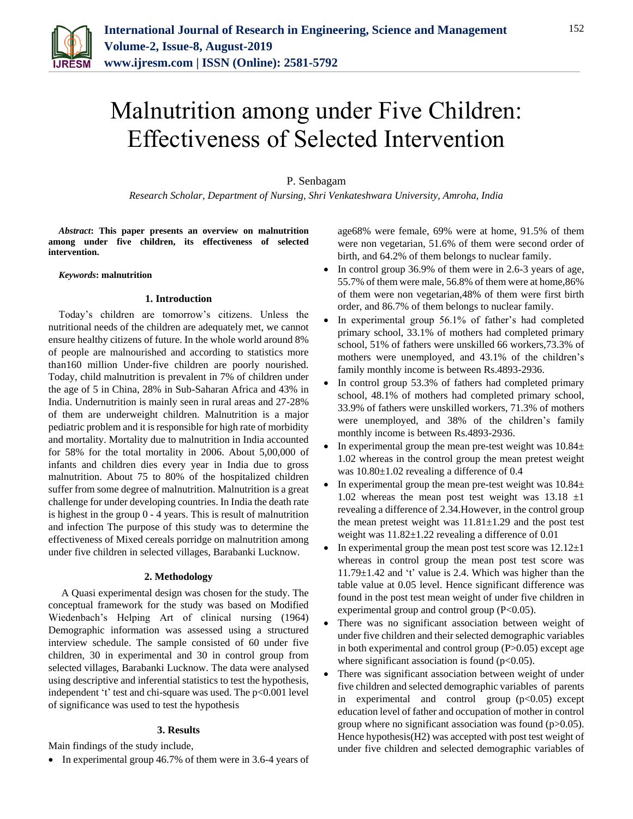

# Malnutrition among under Five Children: Effectiveness of Selected Intervention

# P. Senbagam

*Research Scholar, Department of Nursing, Shri Venkateshwara University, Amroha, India*

*Abstract***: This paper presents an overview on malnutrition among under five children, its effectiveness of selected intervention.**

*Keywords***: malnutrition**

# **1. Introduction**

Today's children are tomorrow's citizens. Unless the nutritional needs of the children are adequately met, we cannot ensure healthy citizens of future. In the whole world around 8% of people are malnourished and according to statistics more than160 million Under-five children are poorly nourished. Today, child malnutrition is prevalent in 7% of children under the age of 5 in China, 28% in Sub-Saharan Africa and 43% in India. Undernutrition is mainly seen in rural areas and 27-28% of them are underweight children. Malnutrition is a major pediatric problem and it is responsible for high rate of morbidity and mortality. Mortality due to malnutrition in India accounted for 58% for the total mortality in 2006. About 5,00,000 of infants and children dies every year in India due to gross malnutrition. About 75 to 80% of the hospitalized children suffer from some degree of malnutrition. Malnutrition is a great challenge for under developing countries. In India the death rate is highest in the group 0 - 4 years. This is result of malnutrition and infection The purpose of this study was to determine the effectiveness of Mixed cereals porridge on malnutrition among under five children in selected villages, Barabanki Lucknow.

# **2. Methodology**

A Quasi experimental design was chosen for the study. The conceptual framework for the study was based on Modified Wiedenbach's Helping Art of clinical nursing (1964) Demographic information was assessed using a structured interview schedule. The sample consisted of 60 under five children, 30 in experimental and 30 in control group from selected villages, Barabanki Lucknow. The data were analysed using descriptive and inferential statistics to test the hypothesis, independent 't' test and chi-square was used. The  $p<0.001$  level of significance was used to test the hypothesis

# **3. Results**

Main findings of the study include,

In experimental group 46.7% of them were in 3.6-4 years of

age68% were female, 69% were at home, 91.5% of them were non vegetarian, 51.6% of them were second order of birth, and 64.2% of them belongs to nuclear family.

- In control group 36.9% of them were in 2.6-3 years of age, 55.7% of them were male, 56.8% of them were at home,86% of them were non vegetarian,48% of them were first birth order, and 86.7% of them belongs to nuclear family.
- In experimental group 56.1% of father's had completed primary school, 33.1% of mothers had completed primary school, 51% of fathers were unskilled 66 workers,73.3% of mothers were unemployed, and 43.1% of the children's family monthly income is between Rs.4893-2936.
- In control group 53.3% of fathers had completed primary school, 48.1% of mothers had completed primary school, 33.9% of fathers were unskilled workers, 71.3% of mothers were unemployed, and 38% of the children's family monthly income is between Rs.4893-2936.
- In experimental group the mean pre-test weight was  $10.84\pm$ 1.02 whereas in the control group the mean pretest weight was  $10.80 \pm 1.02$  revealing a difference of 0.4
- In experimental group the mean pre-test weight was  $10.84\pm$ 1.02 whereas the mean post test weight was  $13.18 \pm 1$ revealing a difference of 2.34.However, in the control group the mean pretest weight was  $11.81 \pm 1.29$  and the post test weight was  $11.82 \pm 1.22$  revealing a difference of 0.01
- In experimental group the mean post test score was  $12.12 \pm 1$ whereas in control group the mean post test score was 11.79±1.42 and 't' value is 2.4. Which was higher than the table value at 0.05 level. Hence significant difference was found in the post test mean weight of under five children in experimental group and control group  $(P<0.05)$ .
- There was no significant association between weight of under five children and their selected demographic variables in both experimental and control group (P>0.05) except age where significant association is found  $(p<0.05)$ .
- There was significant association between weight of under five children and selected demographic variables of parents in experimental and control group  $(p<0.05)$  except education level of father and occupation of mother in control group where no significant association was found  $(p>0.05)$ . Hence hypothesis(H2) was accepted with post test weight of under five children and selected demographic variables of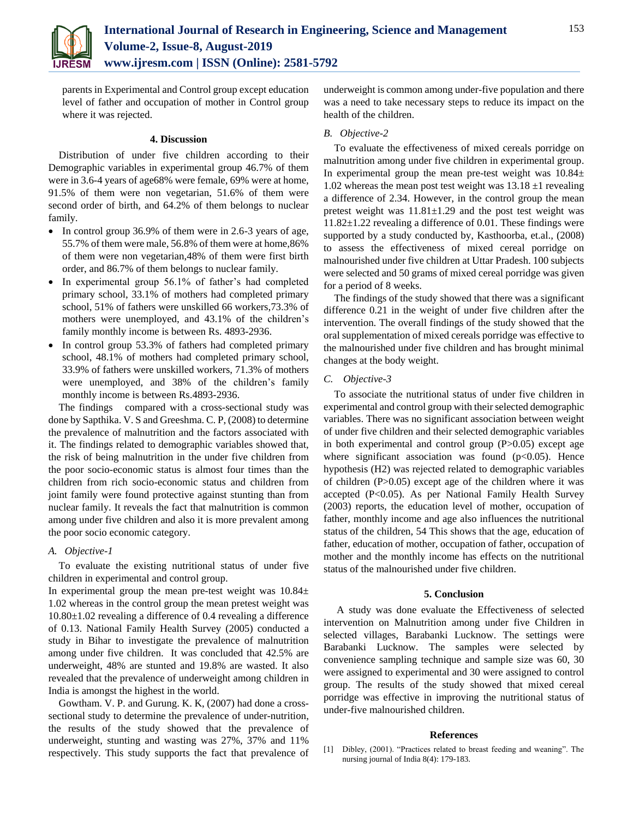

parents in Experimental and Control group except education level of father and occupation of mother in Control group where it was rejected.

## **4. Discussion**

Distribution of under five children according to their Demographic variables in experimental group 46.7% of them were in 3.6-4 years of age68% were female, 69% were at home, 91.5% of them were non vegetarian, 51.6% of them were second order of birth, and 64.2% of them belongs to nuclear family.

- In control group 36.9% of them were in 2.6-3 years of age, 55.7% of them were male, 56.8% of them were at home,86% of them were non vegetarian,48% of them were first birth order, and 86.7% of them belongs to nuclear family.
- In experimental group 56.1% of father's had completed primary school, 33.1% of mothers had completed primary school, 51% of fathers were unskilled 66 workers,73.3% of mothers were unemployed, and 43.1% of the children's family monthly income is between Rs. 4893-2936.
- In control group 53.3% of fathers had completed primary school, 48.1% of mothers had completed primary school, 33.9% of fathers were unskilled workers, 71.3% of mothers were unemployed, and 38% of the children's family monthly income is between Rs.4893-2936.

The findings compared with a cross-sectional study was done by Sapthika. V. S and Greeshma. C. P, (2008) to determine the prevalence of malnutrition and the factors associated with it. The findings related to demographic variables showed that, the risk of being malnutrition in the under five children from the poor socio-economic status is almost four times than the children from rich socio-economic status and children from joint family were found protective against stunting than from nuclear family. It reveals the fact that malnutrition is common among under five children and also it is more prevalent among the poor socio economic category.

## *A. Objective-1*

To evaluate the existing nutritional status of under five children in experimental and control group.

In experimental group the mean pre-test weight was  $10.84\pm$ 1.02 whereas in the control group the mean pretest weight was  $10.80 \pm 1.02$  revealing a difference of 0.4 revealing a difference of 0.13. National Family Health Survey (2005) conducted a study in Bihar to investigate the prevalence of malnutrition among under five children. It was concluded that 42.5% are underweight, 48% are stunted and 19.8% are wasted. It also revealed that the prevalence of underweight among children in India is amongst the highest in the world.

Gowtham. V. P. and Gurung. K. K, (2007) had done a crosssectional study to determine the prevalence of under-nutrition, the results of the study showed that the prevalence of underweight, stunting and wasting was 27%, 37% and 11% respectively. This study supports the fact that prevalence of underweight is common among under-five population and there was a need to take necessary steps to reduce its impact on the health of the children.

## *B. Objective-2*

To evaluate the effectiveness of mixed cereals porridge on malnutrition among under five children in experimental group. In experimental group the mean pre-test weight was  $10.84\pm$ 1.02 whereas the mean post test weight was  $13.18 \pm 1$  revealing a difference of 2.34. However, in the control group the mean pretest weight was 11.81±1.29 and the post test weight was 11.82±1.22 revealing a difference of 0.01. These findings were supported by a study conducted by, Kasthoorba, et.al., (2008) to assess the effectiveness of mixed cereal porridge on malnourished under five children at Uttar Pradesh. 100 subjects were selected and 50 grams of mixed cereal porridge was given for a period of 8 weeks.

The findings of the study showed that there was a significant difference 0.21 in the weight of under five children after the intervention. The overall findings of the study showed that the oral supplementation of mixed cereals porridge was effective to the malnourished under five children and has brought minimal changes at the body weight.

## *C. Objective-3*

To associate the nutritional status of under five children in experimental and control group with their selected demographic variables. There was no significant association between weight of under five children and their selected demographic variables in both experimental and control group (P>0.05) except age where significant association was found  $(p<0.05)$ . Hence hypothesis (H2) was rejected related to demographic variables of children (P>0.05) except age of the children where it was accepted (P<0.05). As per National Family Health Survey (2003) reports, the education level of mother, occupation of father, monthly income and age also influences the nutritional status of the children, 54 This shows that the age, education of father, education of mother, occupation of father, occupation of mother and the monthly income has effects on the nutritional status of the malnourished under five children.

## **5. Conclusion**

A study was done evaluate the Effectiveness of selected intervention on Malnutrition among under five Children in selected villages, Barabanki Lucknow. The settings were Barabanki Lucknow. The samples were selected by convenience sampling technique and sample size was 60, 30 were assigned to experimental and 30 were assigned to control group. The results of the study showed that mixed cereal porridge was effective in improving the nutritional status of under-five malnourished children.

#### **References**

[1] Dibley, (2001). "Practices related to breast feeding and weaning". The nursing journal of India 8(4): 179-183.